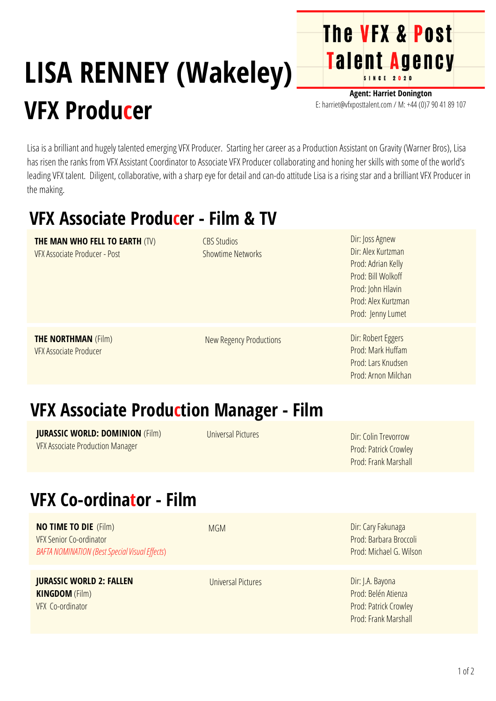# **LISA RENNEY (Wakeley) VFX Producer**

**Agent: Harriet Donington** E: harriet@vfxposttalent.com / M:+44(0)7904189107

**The VFX & Post** 

Talent Agency

Lisa is a brilliant and hugely talented emerging VFX Producer. Starting her career as a Production Assistant on Gravity (Warner Bros), Lisa has risen the ranks from VFX Assistant Coordinator to Associate VFX Producer collaborating and honing her skills with some of the world's leading VFX talent. Diligent, collaborative, with a sharp eye for detail and can-do attitude Lisa is a rising star and a brilliant VFX Producer in the making.

#### **VFX Associate Producer - Film & TV**

| <b>THE MAN WHO FELL TO EARTH (TV)</b><br><b>VFX Associate Producer - Post</b> | <b>CBS Studios</b><br><b>Showtime Networks</b> | Dir: Joss Agnew<br>Dir: Alex Kurtzman<br>Prod: Adrian Kelly<br>Prod: Bill Wolkoff<br>Prod: John Hlavin<br>Prod: Alex Kurtzman<br>Prod: Jenny Lumet |
|-------------------------------------------------------------------------------|------------------------------------------------|----------------------------------------------------------------------------------------------------------------------------------------------------|
| <b>THE NORTHMAN (Film)</b><br><b>VFX Associate Producer</b>                   | New Regency Productions                        | Dir: Robert Eggers<br>Prod: Mark Huffam<br>Prod: Lars Knudsen<br>Prod: Arnon Milchan                                                               |

#### **VFX Associate Production Manager - Film**

**JURASSIC WORLD: DOMINION** (Film) VFXAssociate Production Manager

Universal Pictures

Dir: Colin Trevorrow Prod: Patrick [Crowley](https://pro.imdb.com/name/nm0189777/?ref_=tt_fm_prodr) Prod: Frank [Marshall](https://pro.imdb.com/name/nm0550881/?ref_=tt_fm_prodr)

### **VFX Co-ordinator - Film**

**NO TIME TO DIE** (Film) VFX Senior Co-ordinator *BAFTA NOMINATION ([BestSpecialVisualEf](https://www.instagram.com/explore/tags/bestspecialvisualeffects/) ects*)

**JURASSIC WORLD 2: FALLEN KINGDOM** (Film) VFX Co-ordinator

MGM

[Universal](https://pro.imdb.com/company/co0005073/?ref_=tt_cc_nm_2) Pictures

Dir: Cary Fakunaga Prod: [Barbara](https://pro.imdb.com/name/nm0110483/?ref_=tt_fm_prodr) Broccoli Prod: [Michael](https://pro.imdb.com/name/nm0933865/?ref_=tt_fm_prodr) G. Wilson

Dir: J.A. Bayona Prod: Belén [Atienza](https://pro.imdb.com/name/nm1428086/?ref_=tt_fm_prodr) Prod: Patrick [Crowley](https://pro.imdb.com/name/nm0189777/?ref_=tt_fm_prodr) Prod: Frank [Marshall](https://pro.imdb.com/name/nm0550881/?ref_=tt_fm_prodr)